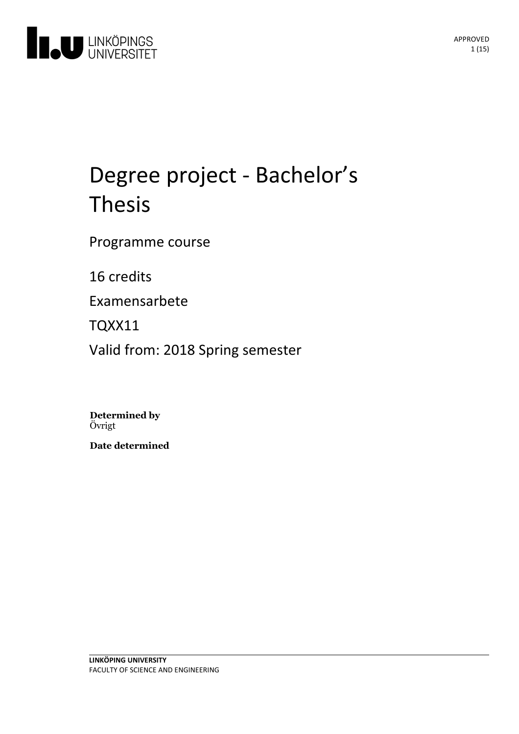

# Degree project - Bachelor's Thesis

Programme course

16 credits

Examensarbete

TQXX11

Valid from: 2018 Spring semester

**Determined by** Övrigt

**Date determined**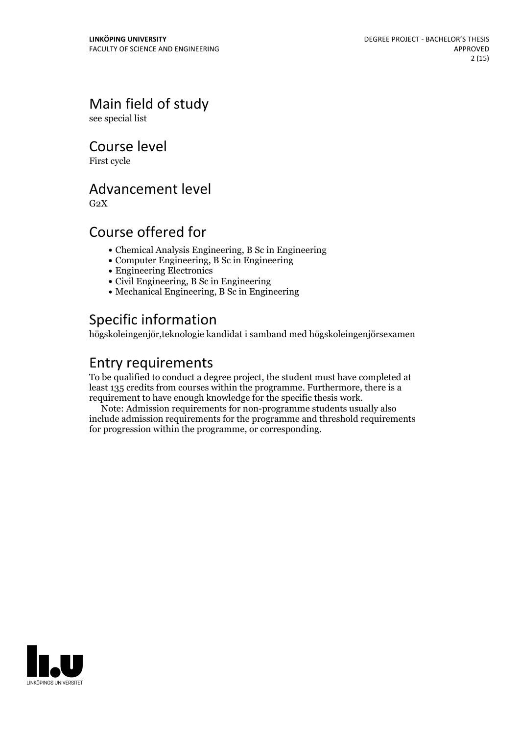Main field of study

see special list

Course level

First cycle

# Advancement level

 $G<sub>2</sub>X$ 

# Course offered for

- Chemical Analysis Engineering, B Sc in Engineering
- Computer Engineering, B Sc in Engineering
- Engineering Electronics
- Civil Engineering, B Sc in Engineering
- Mechanical Engineering, B Sc in Engineering

# Specific information

högskoleingenjör,teknologie kandidat i samband med högskoleingenjörsexamen

# Entry requirements

To be qualified to conduct a degree project, the student must have completed at least 135 credits from courses within the programme. Furthermore, there is a requirement to have enough knowledge for the specific thesis work.

Note: Admission requirements for non-programme students usually also include admission requirements for the programme and threshold requirements for progression within the programme, or corresponding.

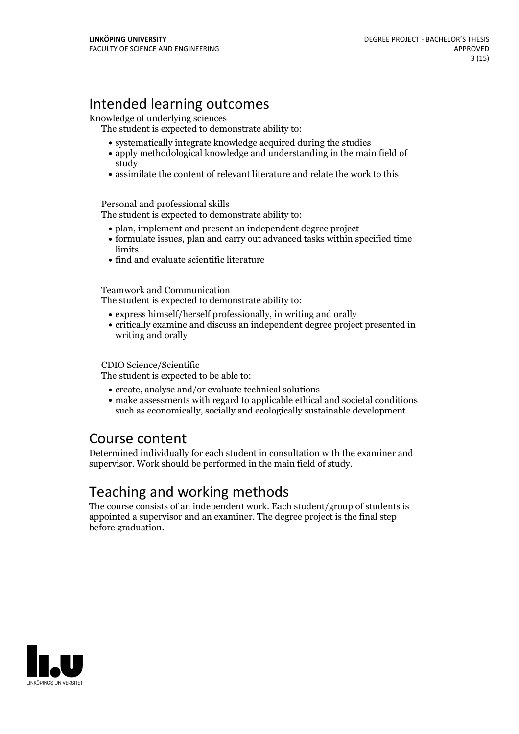# Intended learning outcomes

Knowledge of underlying sciences

The student is expected to demonstrate ability to:

- systematically integrate knowledge acquired during the studies
- apply methodological knowledge and understanding in the main field of study
- assimilate the content of relevant literature and relate the work to this

#### Personal and professional skills

The student is expected to demonstrate ability to:

- plan, implement and present an independent degree project
- formulate issues, plan and carry out advanced tasks within specified time limits
- find and evaluate scientific literature

Teamwork and Communication

The student is expected to demonstrate ability to:

- express himself/herself professionally, in writing and orally
- critically examine and discuss an independent degree project presented in writing and orally

CDIO Science/Scientific

The student is expected to be able to:

- create, analyse and/or evaluate technical solutions
- make assessments with regard to applicable ethical and societal conditions such as economically, socially and ecologically sustainable development

### Course content

Determined individually for each student in consultation with the examiner and supervisor. Work should be performed in the main field of study.

# Teaching and working methods

The course consists of an independent work. Each student/group of students is appointed a supervisor and an examiner. The degree project is the final step before graduation.

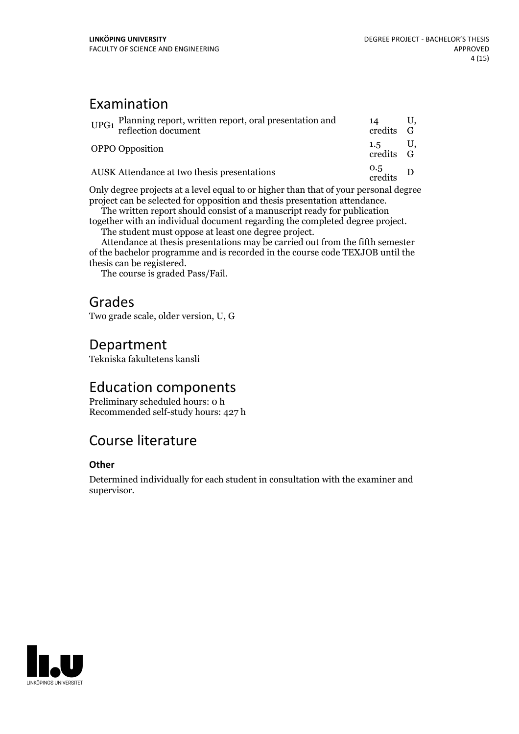# Examination

| UPG1 Planning report, written report, oral presentation and<br>reflection document | 14<br>credits G                                         |  |
|------------------------------------------------------------------------------------|---------------------------------------------------------|--|
| <b>OPPO</b> Opposition                                                             | $1.5$ U,<br>$\operatorname{credits}$ $\operatorname{G}$ |  |
| <b>AUSK</b> Attendance at two thesis presentations                                 | $rac{0.5}{\text{credits}}$ D                            |  |

Only degree projects at a level equal to or higher than that of your personal degree project can be selected for opposition and thesis presentation attendance. The written report should consist of <sup>a</sup> manuscript ready for publication

together with an individual document regarding the completed degree project.<br>The student must oppose at least one degree project.<br>Attendance at thesis presentations may be carried out from the fifth semester

of the bachelor programme and is recorded in the course code TEXJOB until the

The course is graded Pass/Fail.

# Grades

Two grade scale, older version, U, G

### Department

Tekniska fakultetens kansli

### Education components

Preliminary scheduled hours: 0 h Recommended self-study hours: 427 h

# Course literature

### **Other**

Determined individually for each student in consultation with the examiner and supervisor.

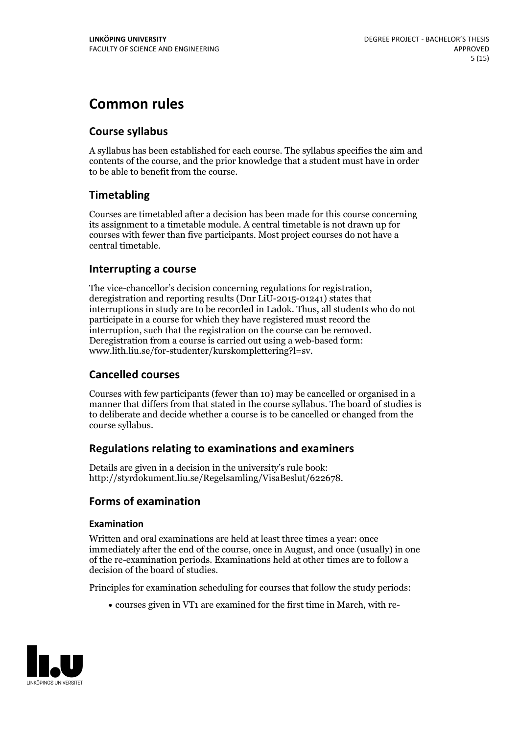# **Common rules**

### **Course syllabus**

A syllabus has been established for each course. The syllabus specifies the aim and contents of the course, and the prior knowledge that a student must have in order to be able to benefit from the course.

### **Timetabling**

Courses are timetabled after a decision has been made for this course concerning its assignment to a timetable module. A central timetable is not drawn up for courses with fewer than five participants. Most project courses do not have a central timetable.

### **Interrupting a course**

The vice-chancellor's decision concerning regulations for registration, deregistration and reporting results (Dnr LiU-2015-01241) states that interruptions in study are to be recorded in Ladok. Thus, all students who do not participate in a course for which they have registered must record the interruption, such that the registration on the course can be removed. Deregistration from <sup>a</sup> course is carried outusing <sup>a</sup> web-based form: www.lith.liu.se/for-studenter/kurskomplettering?l=sv.

### **Cancelled courses**

Courses with few participants (fewer than 10) may be cancelled or organised in a manner that differs from that stated in the course syllabus. The board of studies is to deliberate and decide whether a course is to be cancelled orchanged from the course syllabus.

### **Regulations relatingto examinations and examiners**

Details are given in a decision in the university's rule book: http://styrdokument.liu.se/Regelsamling/VisaBeslut/622678.

### **Forms of examination**

#### **Examination**

Written and oral examinations are held at least three times a year: once immediately after the end of the course, once in August, and once (usually) in one of the re-examination periods. Examinations held at other times are to follow a decision of the board of studies.

Principles for examination scheduling for courses that follow the study periods:

courses given in VT1 are examined for the first time in March, with re-

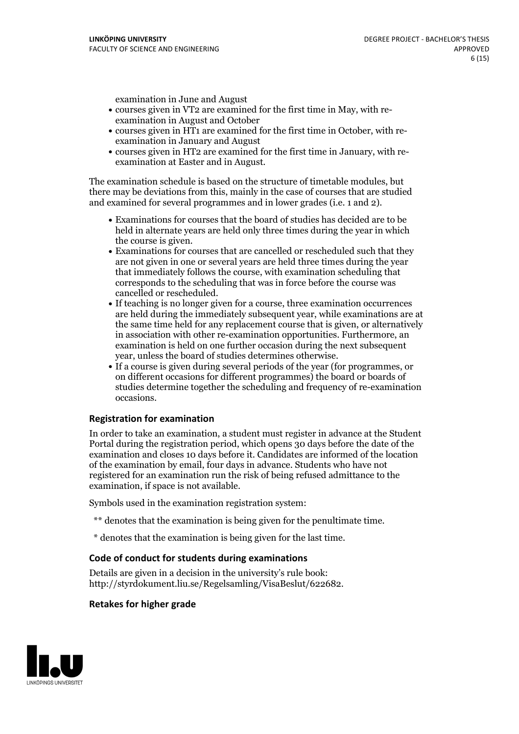examination in June and August

- courses given in VT2 are examined for the first time in May, with re-examination in August and October
- courses given in HT1 are examined for the first time in October, with re-examination in January and August
- courses given in HT2 are examined for the first time in January, with re-examination at Easter and in August.

The examination schedule is based on the structure of timetable modules, but there may be deviations from this, mainly in the case of courses that are studied and examined for several programmes and in lower grades (i.e. 1 and 2).

- Examinations for courses that the board of studies has decided are to be held in alternate years are held only three times during the year in which
- the course is given.<br>• Examinations for courses that are cancelled or rescheduled such that they are not given in one or several years are held three times during the year that immediately follows the course, with examination scheduling that corresponds to the scheduling that was in force before the course was cancelled or rescheduled.<br>• If teaching is no longer given for a course, three examination occurrences
- are held during the immediately subsequent year, while examinations are at the same time held for any replacement course that is given, or alternatively in association with other re-examination opportunities. Furthermore, an examination is held on one further occasion during the next subsequent year, unless the board of studies determines otherwise.<br>• If a course is given during several periods of the year (for programmes, or
- on different occasions for different programmes) the board orboards of studies determine together the scheduling and frequency of re-examination occasions.

#### **Registration for examination**

In order to take an examination, a student must register in advance at the Student Portal during the registration period, which opens 30 days before the date of the examination and closes 10 days before it. Candidates are informed of the location of the examination by email, four days in advance. Students who have not registered for an examination run the risk of being refused admittance to the examination, if space is not available.

Symbols used in the examination registration system:

- \*\* denotes that the examination is being given for the penultimate time.
- \* denotes that the examination is being given for the last time.

#### **Code of conduct for students during examinations**

Details are given in a decision in the university's rule book: http://styrdokument.liu.se/Regelsamling/VisaBeslut/622682.

#### **Retakes for higher grade**

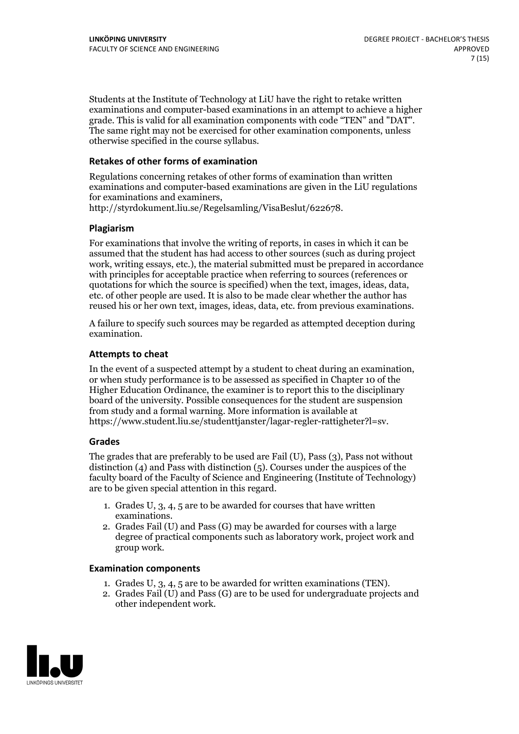Students at the Institute of Technology at LiU have the right to retake written examinations and computer-based examinations in an attempt to achieve a higher grade. This is valid for all examination components with code "TEN" and "DAT". The same right may not be exercised for other examination components, unless otherwise specified in the course syllabus.

#### **Retakes of other forms of examination**

Regulations concerning retakes of other forms of examination than written examinations and computer-based examinations are given in the LiU regulations for examinations and examiners, http://styrdokument.liu.se/Regelsamling/VisaBeslut/622678.

#### **Plagiarism**

For examinations that involve the writing of reports, in cases in which it can be assumed that the student has had access to other sources (such as during project work, writing essays, etc.), the material submitted must be prepared in accordance with principles for acceptable practice when referring to sources (references or quotations for which the source is specified) when the text, images, ideas, data, etc. of other people are used. It is also to be made clear whether the author has reused his or her own text, images, ideas, data, etc. from previous examinations.

A failure to specify such sources may be regarded as attempted deception during examination.

#### **Attempts to cheat**

In the event of <sup>a</sup> suspected attempt by <sup>a</sup> student to cheat during an examination, or when study performance is to be assessed as specified in Chapter <sup>10</sup> of the Higher Education Ordinance, the examiner is to report this to the disciplinary board of the university. Possible consequences for the student are suspension from study and a formal warning. More information is available at https://www.student.liu.se/studenttjanster/lagar-regler-rattigheter?l=sv.

#### **Grades**

The grades that are preferably to be used are Fail (U), Pass (3), Pass not without distinction  $(4)$  and Pass with distinction  $(5)$ . Courses under the auspices of the faculty board of the Faculty of Science and Engineering (Institute of Technology) are to be given special attention in this regard.

- 1. Grades U, 3, 4, 5 are to be awarded for courses that have written
- examinations. 2. Grades Fail (U) and Pass (G) may be awarded for courses with <sup>a</sup> large degree of practical components such as laboratory work, project work and group work.

#### **Examination components**

- 
- 1. Grades U, 3, 4, <sup>5</sup> are to be awarded for written examinations (TEN). 2. Grades Fail (U) and Pass (G) are to be used for undergraduate projects and other independent work.

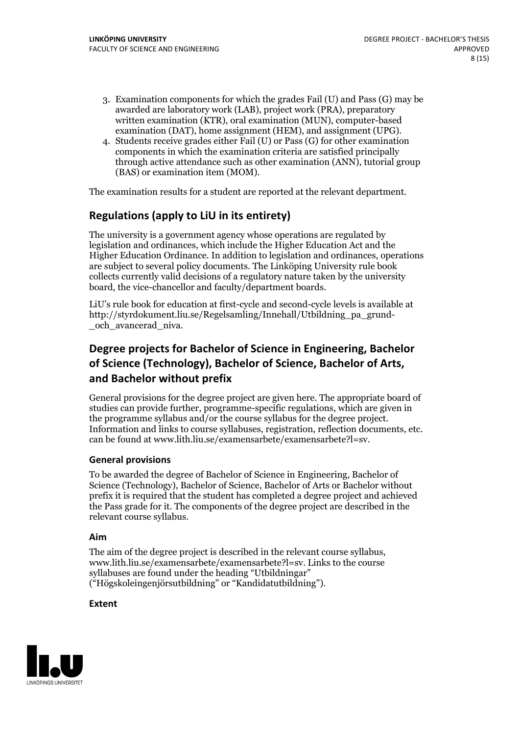- 3. Examination components for which the grades Fail (U) and Pass (G) may be awarded are laboratory work (LAB), project work (PRA), preparatory written examination (KTR), oral examination (MUN), computer-based examination (DAT), home assignment (HEM), and assignment (UPG).
- 4. Students receive grades either Fail (U) or Pass (G) for other examination components in which the examination criteria are satisfied principally through active attendance such as other examination (ANN), tutorial group (BAS) or examination item (MOM).

The examination results for a student are reported at the relevant department.

### **Regulations (applyto LiU in its entirety)**

The university is a government agency whose operations are regulated by legislation and ordinances, which include the Higher Education Act and the Higher Education Ordinance. In addition to legislation and ordinances, operations are subject to several policy documents. The Linköping University rule book collects currently valid decisions of a regulatory nature taken by the university board, the vice-chancellor and faculty/department boards.

LiU's rule book for education at first-cycle and second-cycle levels is available at http://styrdokument.liu.se/Regelsamling/Innehall/Utbildning\_pa\_grund- \_och\_avancerad\_niva.

### **Degree projects for Bachelor of Science in Engineering, Bachelor ofScience (Technology), Bachelor ofScience, Bachelor of Arts, and Bachelor without prefix**

General provisions for the degree project are given here. The appropriate board of studies can provide further, programme-specific regulations, which are given in the programme syllabus and/or the course syllabus for the degree project. Information and links to course syllabuses, registration, reflection documents, etc. can be found at www.lith.liu.se/examensarbete/examensarbete?l=sv.

#### **General provisions**

To be awarded the degree of Bachelor of Science in Engineering, Bachelor of Science (Technology), Bachelor of Science, Bachelor of Arts or Bachelor without prefix it is required that the student has completed a degree project and achieved the Pass grade for it. The components of the degree project are described in the relevant course syllabus.

#### **Aim**

The aim of the degree project is described in the relevant course syllabus, www.lith.liu.se/examensarbete/examensarbete?l=sv. Links to the course syllabuses are found under the heading "Utbildningar" ("Högskoleingenjörsutbildning" or "Kandidatutbildning").

#### **Extent**

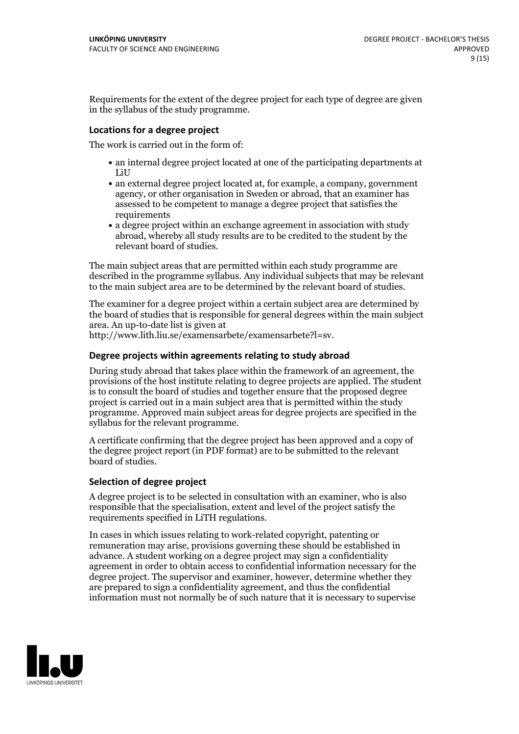Requirements for the extent of the degree project for each type of degree are given in the syllabus of the study programme.

#### **Locations for a degree project**

The work is carried out in the form of:

- an internal degree project located at one of the participating departments at LiU
- an external degree project located at, for example, a company, government agency, or other organisation in Sweden or abroad, that an examiner has assessed to be competent to manage a degree project that satisfies the requirements
- a degree project within an exchange agreement in association with study abroad, whereby all study results are to be credited to the student by the relevant board of studies.

The main subject areas that are permitted within each study programme are described in the programme syllabus. Any individual subjects that may be relevant to the main subject area are to be determined by the relevant board of studies.

The examiner for a degree project within a certain subject area are determined by the board of studies that is responsible for general degrees within the main subject area. An up-to-date list is given at

http://www.lith.liu.se/examensarbete/examensarbete?l=sv.

#### **Degree projects within agreements relatingto study abroad**

During study abroad that takes place within the framework of an agreement, the provisions of the host institute relating to degree projects are applied. The student is to consult the board of studies and together ensure that the proposed degree project is carried out in a main subject area that is permitted within the study programme. Approved main subject areas for degree projects are specified in the syllabus for the relevant programme.

A certificate confirming that the degree project has been approved and a copy of the degree project report (in PDF format) are to be submitted to the relevant board of studies.

#### **Selection of degree project**

A degree project is to be selected in consultation with an examiner, who is also responsible that the specialisation, extent and level of the project satisfy the requirements specified in LiTH regulations.

In cases in which issues relating to work-related copyright, patenting or remuneration may arise, provisions governing these should be established in advance. A student working on a degree project may sign a confidentiality agreement in order to obtain access to confidential information necessary for the degree project. The supervisor and examiner, however, determine whether they are prepared to sign a confidentiality agreement, and thus the confidential information must not normally be of such nature that it is necessary to supervise

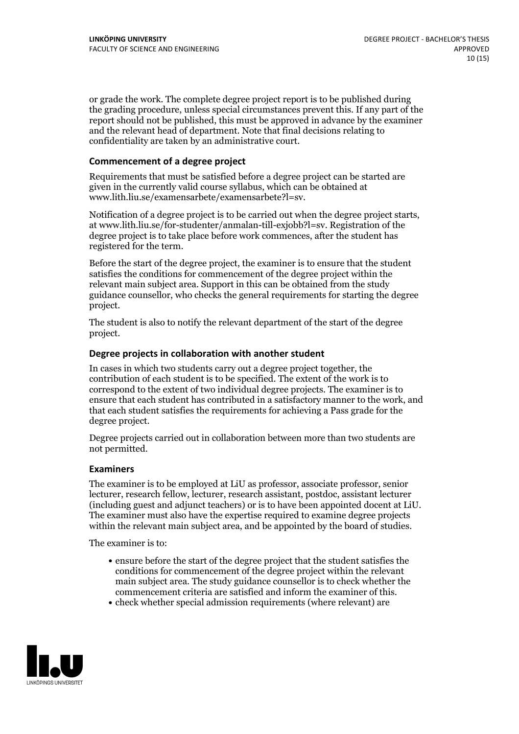or grade the work. The complete degree project report is to be published during the grading procedure, unless special circumstances prevent this. If any part of the report should not be published, this must be approved in advance by the examiner and the relevant head of department. Note that final decisions relating to confidentiality are taken by an administrative court.

#### **Commencement of a degree project**

Requirements that must be satisfied before a degree project can be started are given in the currently valid course syllabus, which can be obtained at www.lith.liu.se/examensarbete/examensarbete?l=sv.

Notification of <sup>a</sup> degree project is to be carried outwhen the degree project starts, at www.lith.liu.se/for-studenter/anmalan-till-exjobb?l=sv. Registration of the degree project is to take place before work commences, after the student has registered for the term.

Before the start of the degree project, the examiner is to ensure that the student satisfies the conditions for commencement of the degree project within the relevant main subject area. Support in this can be obtained from the study guidance counsellor, who checks the general requirements for starting the degree project.

The student is also to notify the relevant department of the start of the degree project.

#### **Degree projects in collaboration with another student**

In cases in which two students carry out a degree project together, the contribution of each student is to be specified. The extent of the work is to correspond to the extent of two individual degree projects. The examiner is to ensure that each student has contributed in a satisfactory manner to the work, and that each student satisfies the requirements for achieving a Pass grade for the degree project.

Degree projects carried out in collaboration between more than two students are not permitted.

#### **Examiners**

The examiner is to be employed at LiU as professor, associate professor, senior lecturer, research fellow, lecturer, research assistant, postdoc, assistant lecturer The examiner must also have the expertise required to examine degree projects within the relevant main subject area, and be appointed by the board of studies.

The examiner is to:

- ensure before the start of the degree project that the student satisfies the conditions for commencement of the degree project within the relevant main subject area. The study guidance counsellor is to check whether the
- commencement criteria are satisfied and inform the examiner of this.<br>• check whether special admission requirements (where relevant) are

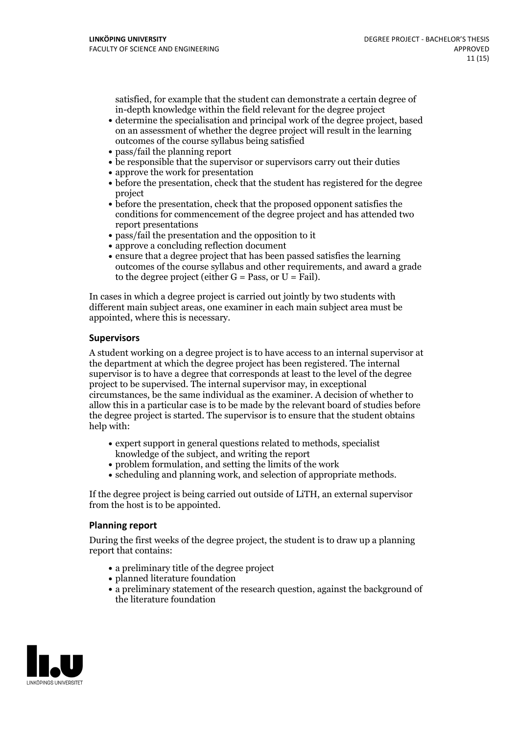satisfied, for example that the student can demonstrate a certain degree of in-depth knowledge within the field relevant for the degree project

- determine the specialisation and principal work of the degree project, based on an assessment of whether the degree project will result in the learning outcomes of the course syllabus being satisfied
- pass/fail the planning report
- be responsible that the supervisor or supervisors carry out their duties
- approve the work for presentation
- before the presentation, check that the student has registered for the degree project
- before the presentation, check that the proposed opponent satisfies the conditions for commencement of the degree project and has attended two report presentations
- pass/fail the presentation and the opposition to it
- approve a concluding reflection document
- ensure that a degree project that has been passed satisfies the learning outcomes of the course syllabus and other requirements, and award a grade to the degree project (either  $G = Pass$ , or  $U = Fail$ ).

In cases in which a degree project is carried out jointly by two students with different main subject areas, one examiner in each main subject area must be appointed, where this is necessary.

#### **Supervisors**

A student working on a degree project is to have access to an internal supervisor at the department at which the degree project has been registered. The internal supervisor is to have a degree that corresponds at least to the level of the degree project to be supervised. The internal supervisor may, in exceptional circumstances, be the same individual as the examiner. A decision of whether to allow this in a particular case is to be made by the relevant board of studies before the degree project is started. The supervisor is to ensure that the student obtains help with:

- expert support in general questions related to methods, specialist knowledge ofthe subject, and writing the report
- problem formulation, and setting the limits of the work
- scheduling and planning work, and selection of appropriate methods.

If the degree project is being carried out outside of LiTH, an external supervisor from the host is to be appointed.

#### **Planning report**

During the first weeks of the degree project, the student is to draw up a planning report that contains:

- $\bullet$  a preliminary title of the degree project
- planned literature foundation
- a preliminary statement of the research question, against the background of the literature foundation

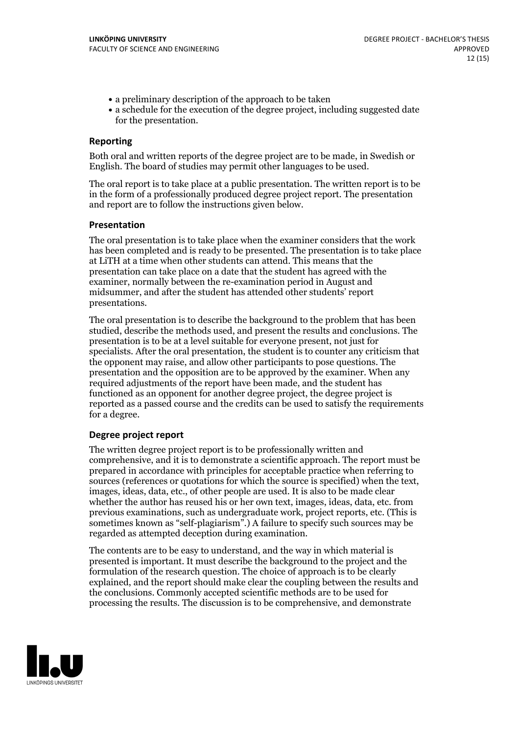- a preliminary description of the approach to be taken
- a schedule for the execution of the degree project, including suggested date for the presentation.

#### **Reporting**

Both oral and written reports of the degree project are to be made, in Swedish or English. The board of studies may permit other languages to be used.

The oral report is to take place at a public presentation. The written report is to be in the form of a professionally produced degree project report. The presentation and report are to follow the instructions given below.

#### **Presentation**

The oral presentation is to take place when the examiner considers that the work has been completed and is ready to be presented. The presentation is to take place at LiTH at a time when other students can attend. This means that the presentation can take place on a date that the student has agreed with the examiner, normally between the re-examination period in August and midsummer, and after the student has attended other students' report presentations.

The oral presentation is to describe the background to the problem that has been studied, describe the methods used, and present the results and conclusions. The presentation is to be at a level suitable for everyone present, not just for specialists. After the oral presentation, the student is to counter any criticism that the opponent may raise, and allow other participants to pose questions. The presentation and the opposition are to be approved by the examiner. When any required adjustments of the report have been made, and the student has functioned as an opponent for another degree project, the degree project is reported as a passed course and the credits can be used to satisfy the requirements for a degree.

#### **Degree project report**

The written degree project report is to be professionally written and comprehensive, and it is to demonstrate a scientific approach. The report must be prepared in accordance with principles for acceptable practice when referring to sources (references or quotations for which the source is specified) when the text, images, ideas, data, etc., of other people are used. It is also to be made clear whether the author has reused his or her own text, images, ideas, data, etc. from previous examinations, such asundergraduate work, project reports, etc. (This is sometimes known as "self-plagiarism".) A failure to specify such sources may be regarded as attempted deception during examination.

The contents are to be easy to understand, and the way in which material is presented is important. It must describe the background to the project and the formulation of the research question. The choice of approach is to be clearly explained, and the report should make clear the coupling between the results and the conclusions. Commonly accepted scientific methods are to be used for processing the results. The discussion is to be comprehensive, and demonstrate

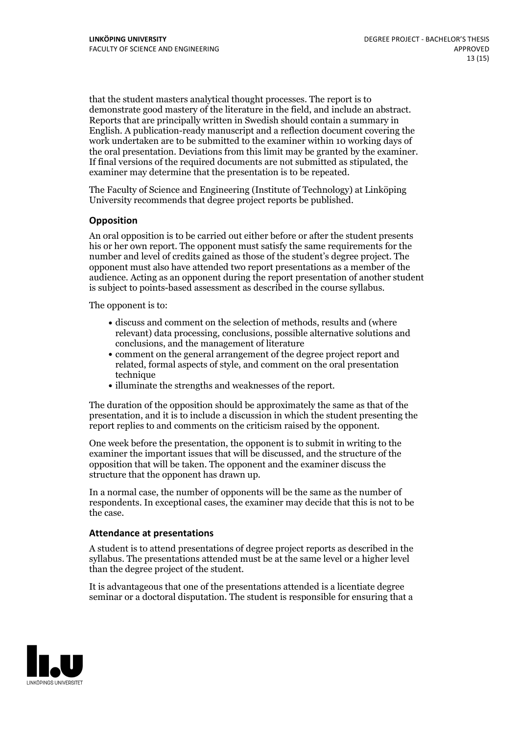that the student masters analytical thought processes. The report is to demonstrate good mastery of the literature in the field, and include an abstract. Reports that are principally written in Swedish should contain <sup>a</sup> summary in English. A publication-ready manuscript and a reflection document covering the work undertaken are to be submitted to the examiner within 10 working days of the oral presentation. Deviations from this limit may be granted by the examiner. If final versions of the required documents are not submitted as stipulated, the examiner may determine that the presentation is to be repeated.

The Faculty of Science and Engineering (Institute of Technology) at Linköping University recommends that degree project reports be published.

#### **Opposition**

An oral opposition is to be carried out either before or after the student presents his or her own report. The opponent must satisfy the same requirements for the number and level of credits gained as those of the student's degree project. The opponent must also have attended two report presentations as a member of the audience. Acting as an opponent during the report presentation of another student is subject to points-based assessment as described in the course syllabus.

The opponent is to:

- discuss and comment on the selection of methods, results and (where relevant) data processing, conclusions, possible alternative solutions and conclusions, and the management of literature
- comment on the general arrangement of the degree project report and related, formal aspects of style, and comment on the oral presentation technique
- illuminate the strengths and weaknesses of the report.

The duration of the opposition should be approximately the same as that of the presentation, and it is to include a discussion in which the student presenting the report replies to and comments on the criticism raised by the opponent.

One week before the presentation, the opponent is to submit in writing to the examiner the important issues that will be discussed, and the structure of the opposition that will be taken. The opponent and the examiner discuss the structure that the opponent has drawn up.

In a normal case, the number of opponents will be the same as the number of respondents. In exceptional cases, the examiner may decide that this is not to be the case.

#### **Attendance at presentations**

A student is to attend presentations of degree project reports as described in the syllabus. The presentations attended must be atthe same level or a higher level than the degree project of the student.

It is advantageous that one of the presentations attended is a licentiate degree seminar or a doctoral disputation. The student is responsible for ensuring that a

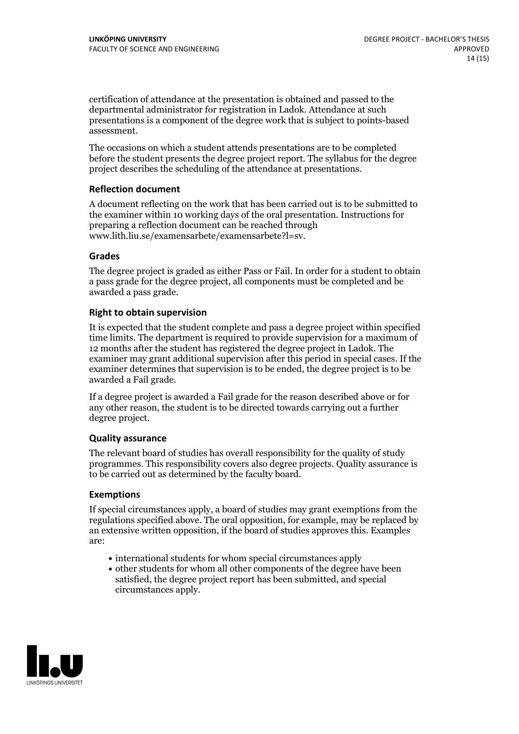certification of attendance at the presentation is obtained and passed to the departmental administrator for registration in Ladok. Attendance at such presentations is a component of the degree work that is subject to points-based assessment.

The occasions on which a student attends presentations are to be completed before the student presents the degree project report. The syllabus for the degree project describes the scheduling of the attendance at presentations.

#### **Reflection document**

A document reflecting on the work that has been carried outis to be submitted to the examiner within 10 working days of the oral presentation. Instructions for preparing a reflection document can be reached through www.lith.liu.se/examensarbete/examensarbete?l=sv.

#### **Grades**

The degree project is graded as either Pass or Fail. In order for a student to obtain a pass grade for the degree project, all components must be completed and be awarded a pass grade.

#### **Right to obtain supervision**

It is expected that the student complete and pass a degree project within specified time limits. The department is required to provide supervision for a maximum of 12 months after the student has registered the degree project in Ladok. The examiner may grant additional supervision after this period in special cases. If the examiner determines that supervision is to be ended, the degree project is to be awarded a Fail grade.

If a degree project is awarded a Fail grade for the reason described above or for any other reason, the student is to be directed towards carrying out a further degree project.

#### **Quality assurance**

The relevant board of studies has overall responsibility for the quality of study programmes. This responsibility covers also degree projects. Quality assurance is to be carried out as determined by the faculty board.

#### **Exemptions**

If special circumstances apply, a board of studies may grant exemptions from the regulations specified above. The oral opposition, for example, may be replaced by an extensive written opposition, if the board of studies approves this. Examples are:

- international students for whom special circumstances apply
- other students for whom all other components of the degree have been satisfied, the degree project report has been submitted, and special circumstances apply.